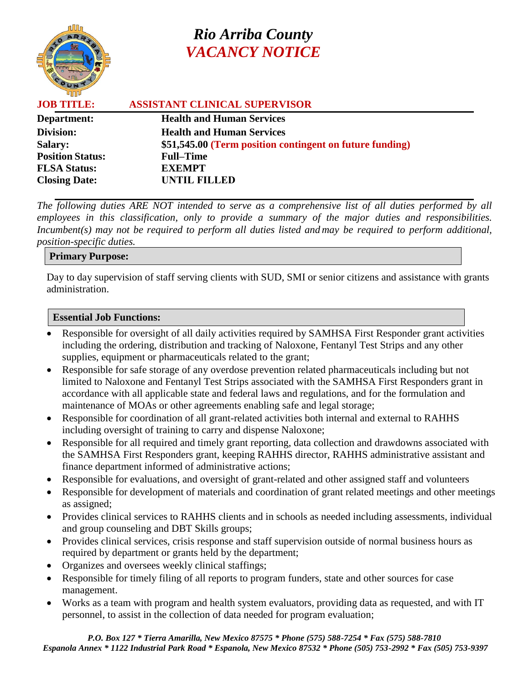

# *Rio Arriba County VACANCY NOTICE*

| <b>ASSISTANT CLINICAL SUPERVISOR</b>                     |
|----------------------------------------------------------|
|                                                          |
|                                                          |
| \$51,545.00 (Term position contingent on future funding) |
|                                                          |
|                                                          |
|                                                          |
|                                                          |

*The following duties ARE NOT intended to serve as a comprehensive list of all duties performed by all employees in this classification, only to provide a summary of the major duties and responsibilities. Incumbent(s) may not be required to perform all duties listed and may be required to perform additional, position-specific duties.*

#### **Primary Purpose:**

Day to day supervision of staff serving clients with SUD, SMI or senior citizens and assistance with grants administration.

#### **Essential Job Functions:**

- Responsible for oversight of all daily activities required by SAMHSA First Responder grant activities including the ordering, distribution and tracking of Naloxone, Fentanyl Test Strips and any other supplies, equipment or pharmaceuticals related to the grant;
- Responsible for safe storage of any overdose prevention related pharmaceuticals including but not limited to Naloxone and Fentanyl Test Strips associated with the SAMHSA First Responders grant in accordance with all applicable state and federal laws and regulations, and for the formulation and maintenance of MOAs or other agreements enabling safe and legal storage;
- Responsible for coordination of all grant-related activities both internal and external to RAHHS including oversight of training to carry and dispense Naloxone;
- Responsible for all required and timely grant reporting, data collection and drawdowns associated with the SAMHSA First Responders grant, keeping RAHHS director, RAHHS administrative assistant and finance department informed of administrative actions;
- Responsible for evaluations, and oversight of grant-related and other assigned staff and volunteers
- Responsible for development of materials and coordination of grant related meetings and other meetings as assigned;
- Provides clinical services to RAHHS clients and in schools as needed including assessments, individual and group counseling and DBT Skills groups;
- Provides clinical services, crisis response and staff supervision outside of normal business hours as required by department or grants held by the department;
- Organizes and oversees weekly clinical staffings;
- Responsible for timely filing of all reports to program funders, state and other sources for case management.
- Works as a team with program and health system evaluators, providing data as requested, and with IT personnel, to assist in the collection of data needed for program evaluation;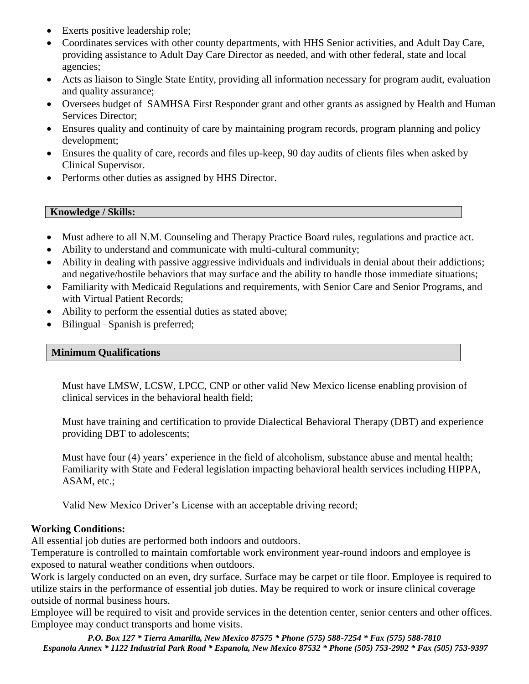- Exerts positive leadership role;
- Coordinates services with other county departments, with HHS Senior activities, and Adult Day Care, providing assistance to Adult Day Care Director as needed, and with other federal, state and local agencies;
- Acts as liaison to Single State Entity, providing all information necessary for program audit, evaluation and quality assurance;
- Oversees budget of SAMHSA First Responder grant and other grants as assigned by Health and Human Services Director;
- Ensures quality and continuity of care by maintaining program records, program planning and policy development;
- Ensures the quality of care, records and files up-keep, 90 day audits of clients files when asked by Clinical Supervisor.
- Performs other duties as assigned by HHS Director.

## **Knowledge / Skills:**

- Must adhere to all N.M. Counseling and Therapy Practice Board rules, regulations and practice act.
- Ability to understand and communicate with multi-cultural community;
- Ability in dealing with passive aggressive individuals and individuals in denial about their addictions; and negative/hostile behaviors that may surface and the ability to handle those immediate situations;
- Familiarity with Medicaid Regulations and requirements, with Senior Care and Senior Programs, and with Virtual Patient Records;
- Ability to perform the essential duties as stated above;
- Bilingual –Spanish is preferred;

## **Minimum Qualifications**

Must have LMSW, LCSW, LPCC, CNP or other valid New Mexico license enabling provision of clinical services in the behavioral health field;

Must have training and certification to provide Dialectical Behavioral Therapy (DBT) and experience providing DBT to adolescents;

Must have four (4) years' experience in the field of alcoholism, substance abuse and mental health; Familiarity with State and Federal legislation impacting behavioral health services including HIPPA, ASAM, etc.;

Valid New Mexico Driver's License with an acceptable driving record;

## **Working Conditions:**

All essential job duties are performed both indoors and outdoors.

Temperature is controlled to maintain comfortable work environment year-round indoors and employee is exposed to natural weather conditions when outdoors.

Work is largely conducted on an even, dry surface. Surface may be carpet or tile floor. Employee is required to utilize stairs in the performance of essential job duties. May be required to work or insure clinical coverage outside of normal business hours.

Employee will be required to visit and provide services in the detention center, senior centers and other offices. Employee may conduct transports and home visits.

*P.O. Box 127 \* Tierra Amarilla, New Mexico 87575 \* Phone (575) 588-7254 \* Fax (575) 588-7810 Espanola Annex \* 1122 Industrial Park Road \* Espanola, New Mexico 87532 \* Phone (505) 753-2992 \* Fax (505) 753-9397*